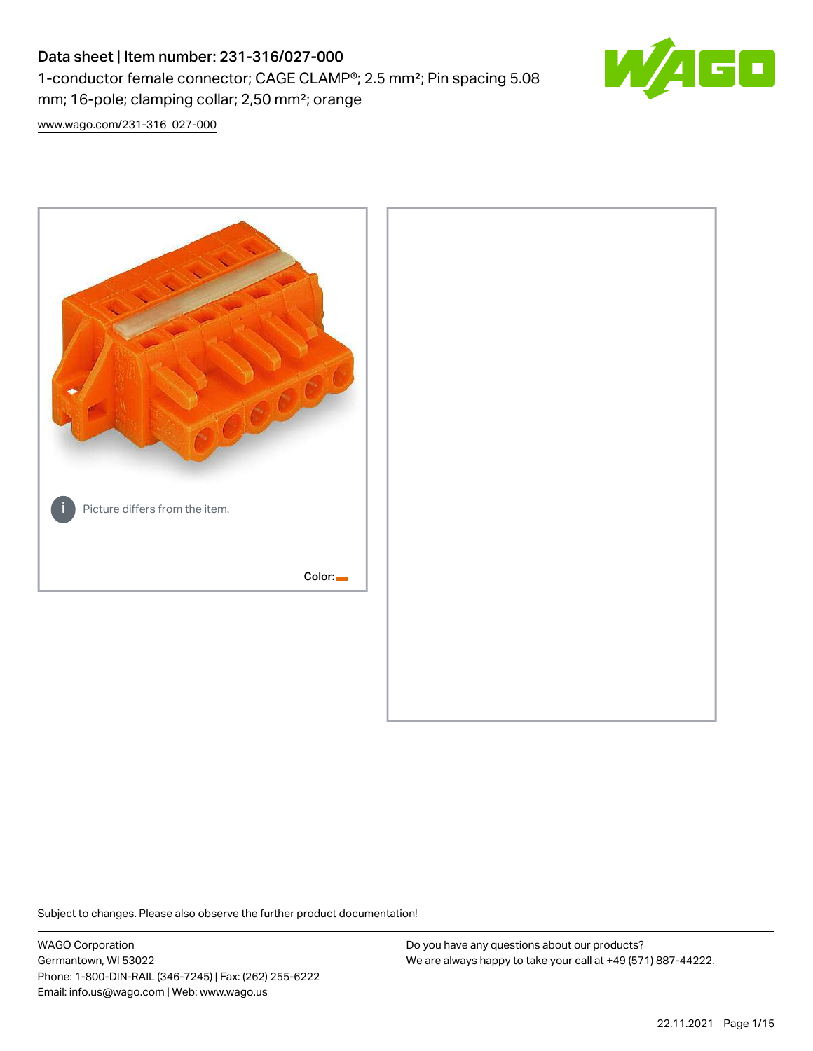# Data sheet | Item number: 231-316/027-000 1-conductor female connector; CAGE CLAMP®; 2.5 mm²; Pin spacing 5.08 mm; 16-pole; clamping collar; 2,50 mm²; orange



[www.wago.com/231-316\\_027-000](http://www.wago.com/231-316_027-000)



Subject to changes. Please also observe the further product documentation!

WAGO Corporation Germantown, WI 53022 Phone: 1-800-DIN-RAIL (346-7245) | Fax: (262) 255-6222 Email: info.us@wago.com | Web: www.wago.us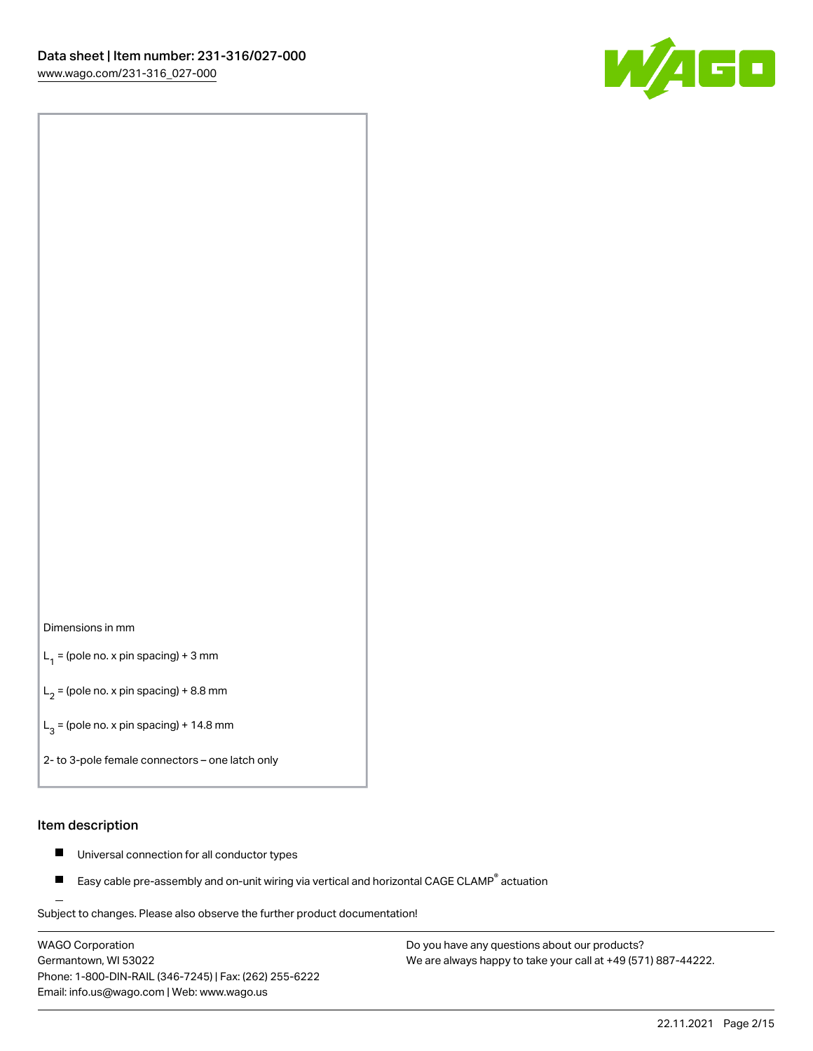

#### Dimensions in mm

 $L_1$  = (pole no. x pin spacing) + 3 mm

 $L_2$  = (pole no. x pin spacing) + 8.8 mm

 $L_3$  = (pole no. x pin spacing) + 14.8 mm

2- to 3-pole female connectors – one latch only

#### Item description

- Universal connection for all conductor types  $\blacksquare$
- Easy cable pre-assembly and on-unit wiring via vertical and horizontal CAGE CLAMP<sup>®</sup> actuation П

.<br>Subject to changes. Please also observe the further product documentation!

WAGO Corporation Germantown, WI 53022 Phone: 1-800-DIN-RAIL (346-7245) | Fax: (262) 255-6222 Email: info.us@wago.com | Web: www.wago.us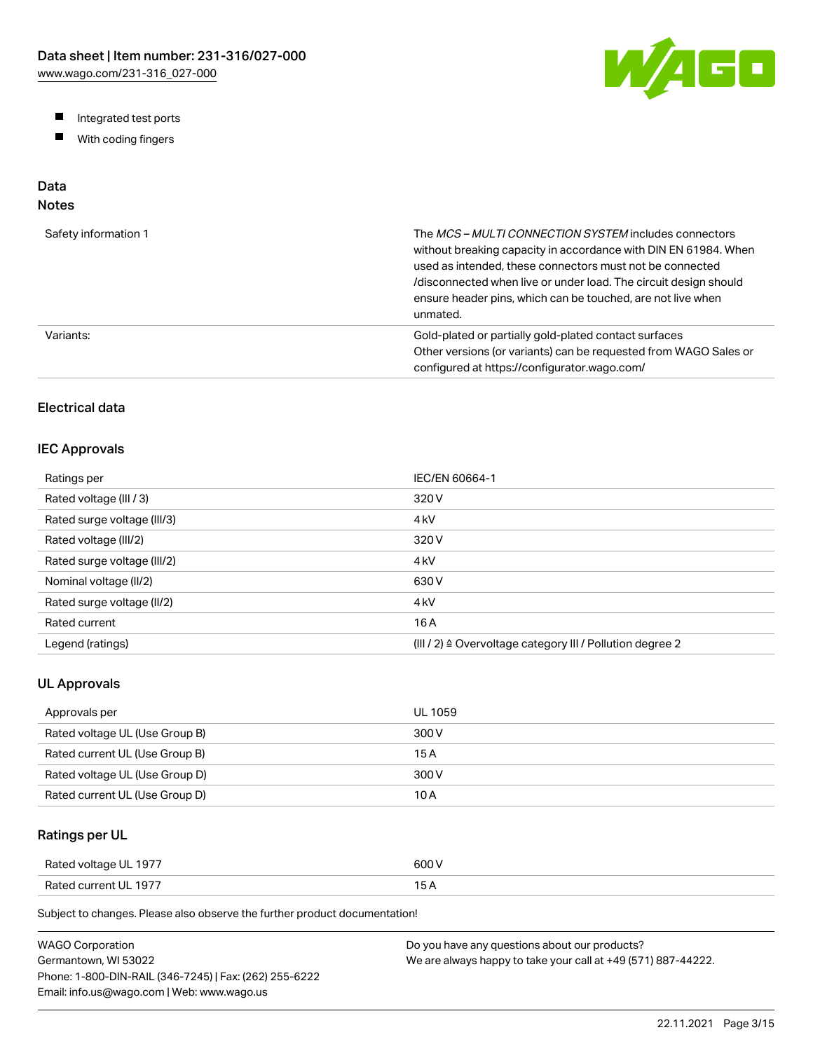W/AGO

- Integrated test ports
- $\blacksquare$ With coding fingers

# Data

## Notes

| Safety information 1 | The MCS-MULTI CONNECTION SYSTEM includes connectors<br>without breaking capacity in accordance with DIN EN 61984. When<br>used as intended, these connectors must not be connected<br>/disconnected when live or under load. The circuit design should<br>ensure header pins, which can be touched, are not live when<br>unmated. |
|----------------------|-----------------------------------------------------------------------------------------------------------------------------------------------------------------------------------------------------------------------------------------------------------------------------------------------------------------------------------|
| Variants:            | Gold-plated or partially gold-plated contact surfaces<br>Other versions (or variants) can be requested from WAGO Sales or<br>configured at https://configurator.wago.com/                                                                                                                                                         |

## Electrical data

## IEC Approvals

| Ratings per                 | IEC/EN 60664-1                                                        |
|-----------------------------|-----------------------------------------------------------------------|
| Rated voltage (III / 3)     | 320 V                                                                 |
| Rated surge voltage (III/3) | 4 <sub>kV</sub>                                                       |
| Rated voltage (III/2)       | 320 V                                                                 |
| Rated surge voltage (III/2) | 4 <sub>kV</sub>                                                       |
| Nominal voltage (II/2)      | 630 V                                                                 |
| Rated surge voltage (II/2)  | 4 <sub>kV</sub>                                                       |
| Rated current               | 16 A                                                                  |
| Legend (ratings)            | $(III / 2)$ $\triangle$ Overvoltage category III / Pollution degree 2 |

## UL Approvals

| Approvals per                  | <b>UL 1059</b> |
|--------------------------------|----------------|
| Rated voltage UL (Use Group B) | 300 V          |
| Rated current UL (Use Group B) | 15 A           |
| Rated voltage UL (Use Group D) | 300 V          |
| Rated current UL (Use Group D) | 10 A           |

## Ratings per UL

| Rated voltage UL 1977 | 600 V  |
|-----------------------|--------|
| Rated current UL 1977 | $\sim$ |

| WAGO Corporation                                       | Do you have any questions about our products?                 |
|--------------------------------------------------------|---------------------------------------------------------------|
| Germantown. WI 53022                                   | We are always happy to take your call at +49 (571) 887-44222. |
| Phone: 1-800-DIN-RAIL (346-7245)   Fax: (262) 255-6222 |                                                               |
| Email: info.us@wago.com   Web: www.wago.us             |                                                               |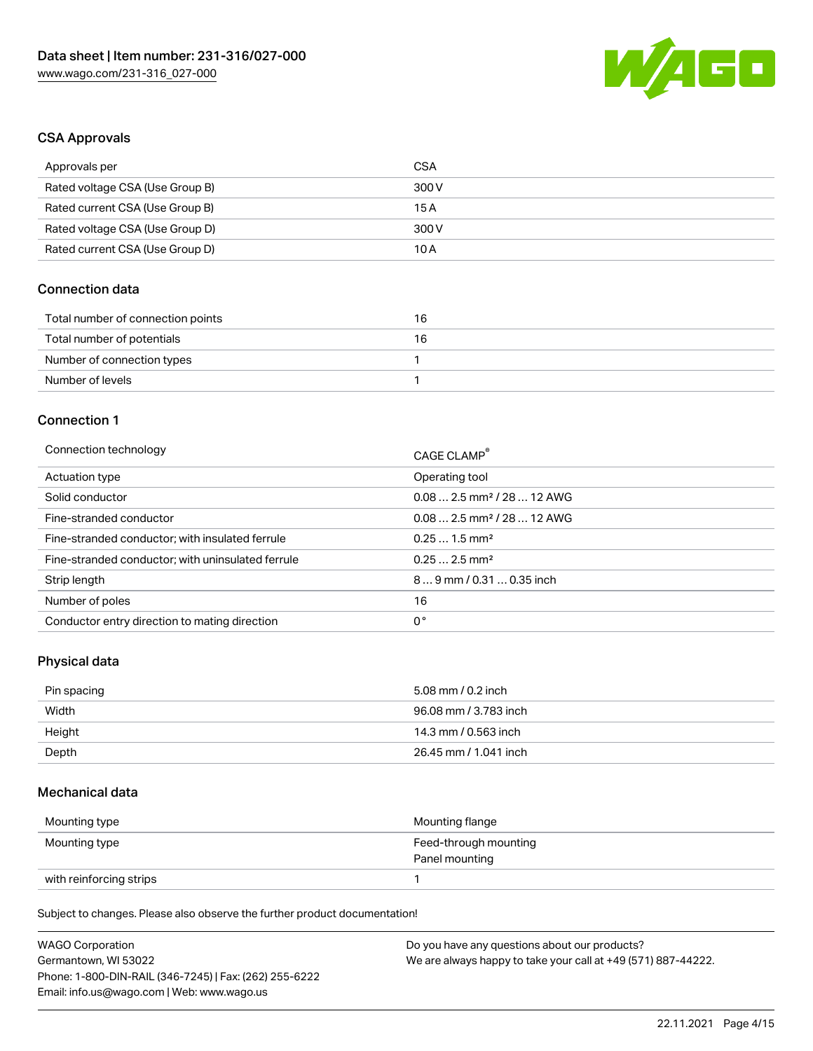

#### CSA Approvals

| Approvals per                   | CSA   |
|---------------------------------|-------|
| Rated voltage CSA (Use Group B) | 300 V |
| Rated current CSA (Use Group B) | 15 A  |
| Rated voltage CSA (Use Group D) | 300 V |
| Rated current CSA (Use Group D) | 10 A  |

## Connection data

| Total number of connection points | 16 |
|-----------------------------------|----|
| Total number of potentials        | 16 |
| Number of connection types        |    |
| Number of levels                  |    |

#### Connection 1

| Connection technology                             | CAGE CLAMP®                            |
|---------------------------------------------------|----------------------------------------|
| Actuation type                                    | Operating tool                         |
| Solid conductor                                   | $0.082.5$ mm <sup>2</sup> / 28  12 AWG |
| Fine-stranded conductor                           | $0.082.5$ mm <sup>2</sup> / 28  12 AWG |
| Fine-stranded conductor; with insulated ferrule   | $0.251.5$ mm <sup>2</sup>              |
| Fine-stranded conductor; with uninsulated ferrule | $0.252.5$ mm <sup>2</sup>              |
| Strip length                                      | $89$ mm / 0.31  0.35 inch              |
| Number of poles                                   | 16                                     |
| Conductor entry direction to mating direction     | 0°                                     |

## Physical data

| Pin spacing | 5.08 mm / 0.2 inch    |
|-------------|-----------------------|
| Width       | 96.08 mm / 3.783 inch |
| Height      | 14.3 mm / 0.563 inch  |
| Depth       | 26.45 mm / 1.041 inch |

#### Mechanical data

| Mounting type           | Mounting flange                         |
|-------------------------|-----------------------------------------|
| Mounting type           | Feed-through mounting<br>Panel mounting |
| with reinforcing strips |                                         |

| <b>WAGO Corporation</b>                                | Do you have any questions about our products?                 |
|--------------------------------------------------------|---------------------------------------------------------------|
| Germantown, WI 53022                                   | We are always happy to take your call at +49 (571) 887-44222. |
| Phone: 1-800-DIN-RAIL (346-7245)   Fax: (262) 255-6222 |                                                               |
| Email: info.us@wago.com   Web: www.wago.us             |                                                               |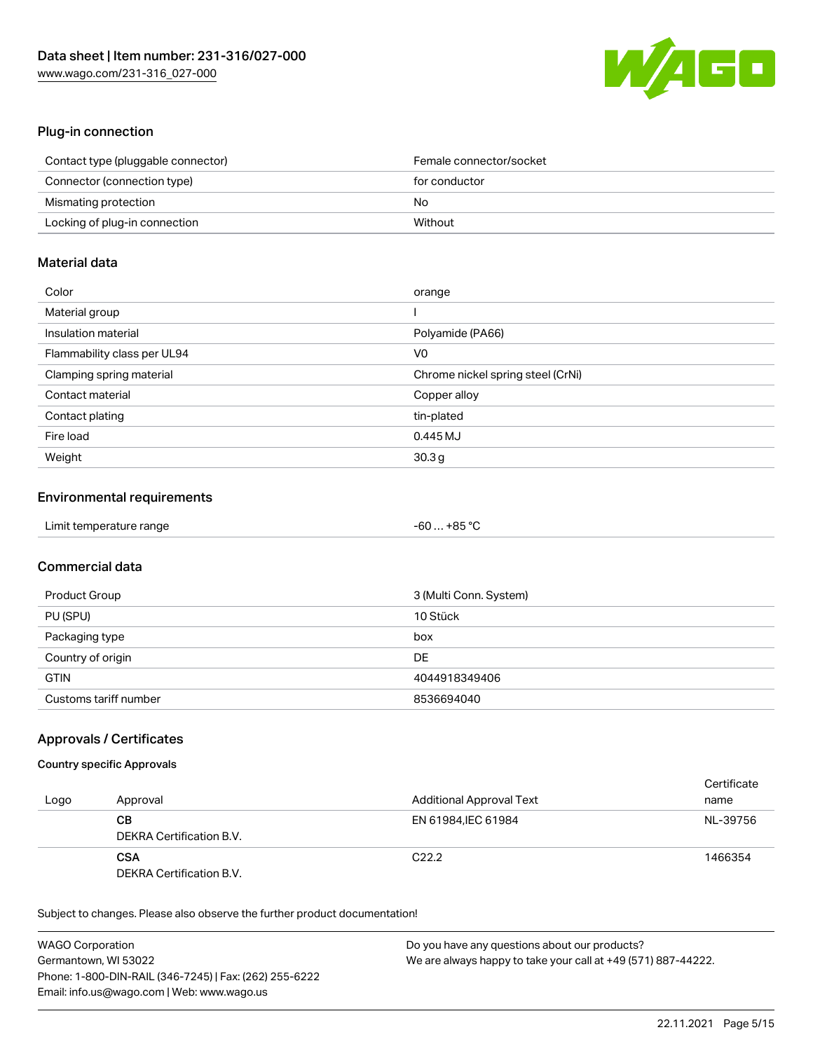

## Plug-in connection

| Contact type (pluggable connector) | Female connector/socket |
|------------------------------------|-------------------------|
| Connector (connection type)        | for conductor           |
| Mismating protection               | No                      |
| Locking of plug-in connection      | Without                 |

## Material data

| Color                       | orange                            |
|-----------------------------|-----------------------------------|
| Material group              |                                   |
| Insulation material         | Polyamide (PA66)                  |
| Flammability class per UL94 | V0                                |
| Clamping spring material    | Chrome nickel spring steel (CrNi) |
| Contact material            | Copper alloy                      |
| Contact plating             | tin-plated                        |
| Fire load                   | 0.445 MJ                          |
| Weight                      | 30.3 <sub>g</sub>                 |

## Environmental requirements

| Limit temperature range | $-60+85 °C$ |
|-------------------------|-------------|
|-------------------------|-------------|

## Commercial data

| Product Group         | 3 (Multi Conn. System) |
|-----------------------|------------------------|
| PU (SPU)              | 10 Stück               |
| Packaging type        | box                    |
| Country of origin     | DE                     |
| <b>GTIN</b>           | 4044918349406          |
| Customs tariff number | 8536694040             |

## Approvals / Certificates

#### Country specific Approvals

| Logo | Approval                               | <b>Additional Approval Text</b> | Certificate<br>name |
|------|----------------------------------------|---------------------------------|---------------------|
|      | CВ<br>DEKRA Certification B.V.         | EN 61984. IEC 61984             | NL-39756            |
|      | <b>CSA</b><br>DEKRA Certification B.V. | C <sub>22.2</sub>               | 1466354             |

| <b>WAGO Corporation</b>                                | Do you have any questions about our products?                 |
|--------------------------------------------------------|---------------------------------------------------------------|
| Germantown, WI 53022                                   | We are always happy to take your call at +49 (571) 887-44222. |
| Phone: 1-800-DIN-RAIL (346-7245)   Fax: (262) 255-6222 |                                                               |
| Email: info.us@wago.com   Web: www.wago.us             |                                                               |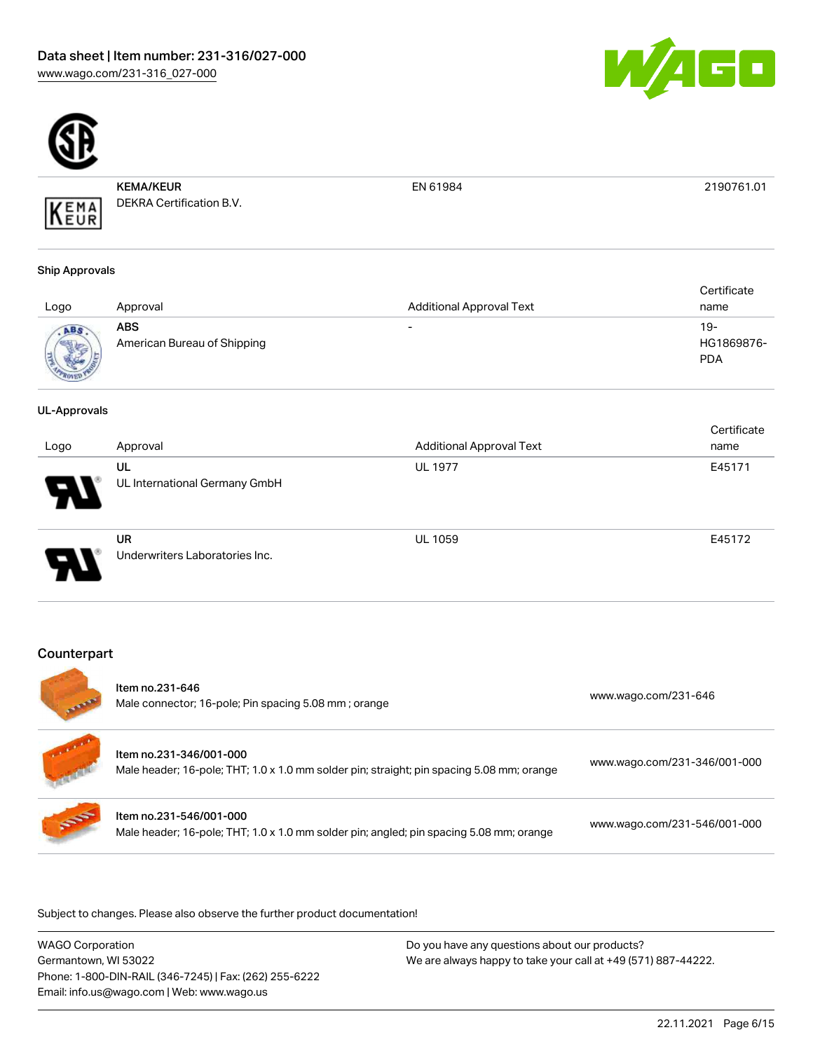



KEMA/KEUR DEKRA Certification B.V. EN 61984 2190761.01

# Ship Approvals

KEMA

| Logo | Approval                                  | <b>Additional Approval Text</b> | Certificate<br>name             |
|------|-------------------------------------------|---------------------------------|---------------------------------|
| ABS  | <b>ABS</b><br>American Bureau of Shipping | $\overline{\phantom{0}}$        | 19-<br>HG1869876-<br><b>PDA</b> |

#### UL-Approvals

| Logo | Approval                             | <b>Additional Approval Text</b> | Certificate<br>name |
|------|--------------------------------------|---------------------------------|---------------------|
| 8    | UL<br>UL International Germany GmbH  | <b>UL 1977</b>                  | E45171              |
| o    | UR<br>Underwriters Laboratories Inc. | <b>UL 1059</b>                  | E45172              |

## **Counterpart**

| <b>STATE</b> | Item no.231-646<br>Male connector; 16-pole; Pin spacing 5.08 mm; orange                                              | www.wago.com/231-646         |
|--------------|----------------------------------------------------------------------------------------------------------------------|------------------------------|
|              | Item no.231-346/001-000<br>Male header; 16-pole; THT; 1.0 x 1.0 mm solder pin; straight; pin spacing 5.08 mm; orange | www.wago.com/231-346/001-000 |
| <b>SOF</b>   | Item no.231-546/001-000<br>Male header; 16-pole; THT; 1.0 x 1.0 mm solder pin; angled; pin spacing 5.08 mm; orange   | www.wago.com/231-546/001-000 |

.<br>Subject to changes. Please also observe the further product documentation!

| <b>WAGO Corporation</b>                                |
|--------------------------------------------------------|
| Germantown, WI 53022                                   |
| Phone: 1-800-DIN-RAIL (346-7245)   Fax: (262) 255-6222 |
| Email: info.us@wago.com   Web: www.wago.us             |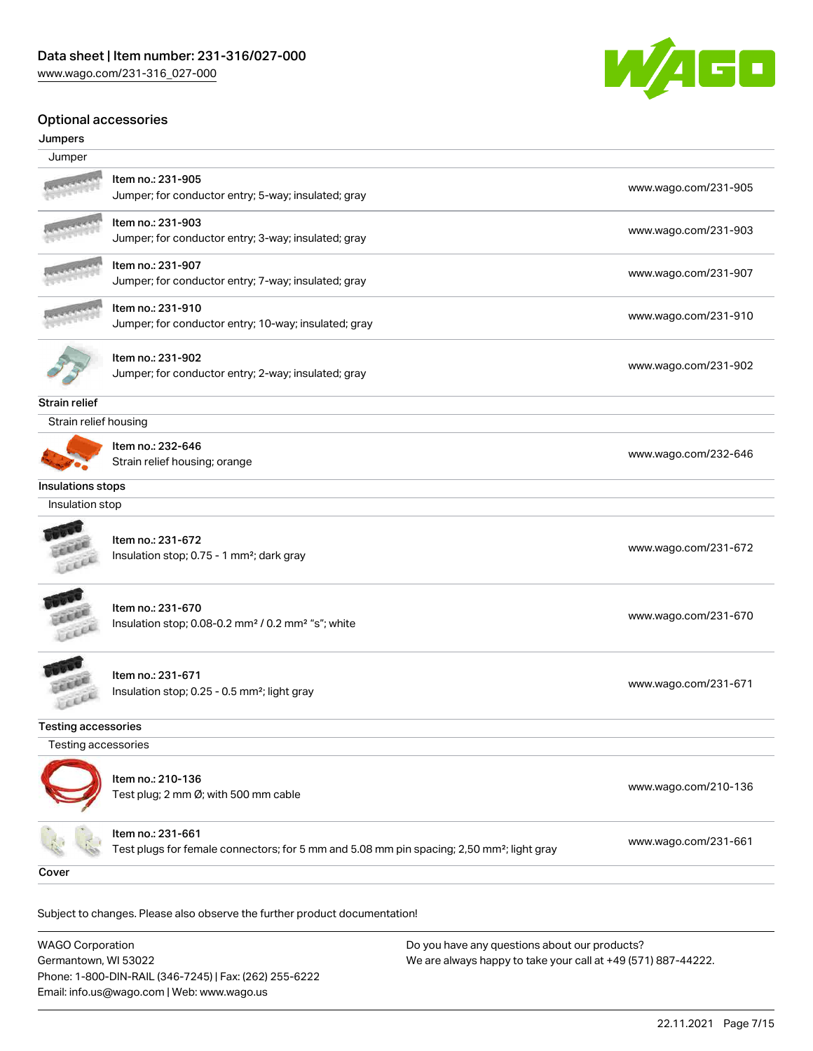

#### Optional accessories

#### Jumpers

| Jumper                     |                                                                                                                            |                      |
|----------------------------|----------------------------------------------------------------------------------------------------------------------------|----------------------|
|                            | Item no.: 231-905<br>Jumper; for conductor entry; 5-way; insulated; gray                                                   | www.wago.com/231-905 |
|                            | Item no.: 231-903<br>Jumper; for conductor entry; 3-way; insulated; gray                                                   | www.wago.com/231-903 |
|                            | Item no.: 231-907<br>Jumper; for conductor entry; 7-way; insulated; gray                                                   | www.wago.com/231-907 |
|                            | Item no.: 231-910<br>Jumper; for conductor entry; 10-way; insulated; gray                                                  | www.wago.com/231-910 |
|                            | Item no.: 231-902<br>Jumper; for conductor entry; 2-way; insulated; gray                                                   | www.wago.com/231-902 |
| Strain relief              |                                                                                                                            |                      |
| Strain relief housing      |                                                                                                                            |                      |
|                            | Item no.: 232-646<br>Strain relief housing; orange                                                                         | www.wago.com/232-646 |
| Insulations stops          |                                                                                                                            |                      |
| Insulation stop            |                                                                                                                            |                      |
|                            | Item no.: 231-672<br>Insulation stop; 0.75 - 1 mm <sup>2</sup> ; dark gray                                                 | www.wago.com/231-672 |
|                            | Item no.: 231-670<br>Insulation stop; 0.08-0.2 mm <sup>2</sup> / 0.2 mm <sup>2</sup> "s"; white                            | www.wago.com/231-670 |
|                            | Item no.: 231-671<br>Insulation stop; 0.25 - 0.5 mm <sup>2</sup> ; light gray                                              | www.wago.com/231-671 |
| <b>Testing accessories</b> |                                                                                                                            |                      |
| Testing accessories        |                                                                                                                            |                      |
|                            | Item no.: 210-136<br>Test plug; 2 mm Ø; with 500 mm cable                                                                  | www.wago.com/210-136 |
|                            | ltem no.: 231-661<br>Test plugs for female connectors; for 5 mm and 5.08 mm pin spacing; 2,50 mm <sup>2</sup> ; light gray | www.wago.com/231-661 |
| Cover                      |                                                                                                                            |                      |
|                            |                                                                                                                            |                      |

Subject to changes. Please also observe the further product documentation! Cover

WAGO Corporation Germantown, WI 53022 Phone: 1-800-DIN-RAIL (346-7245) | Fax: (262) 255-6222 Email: info.us@wago.com | Web: www.wago.us Do you have any questions about our products? We are always happy to take your call at +49 (571) 887-44222.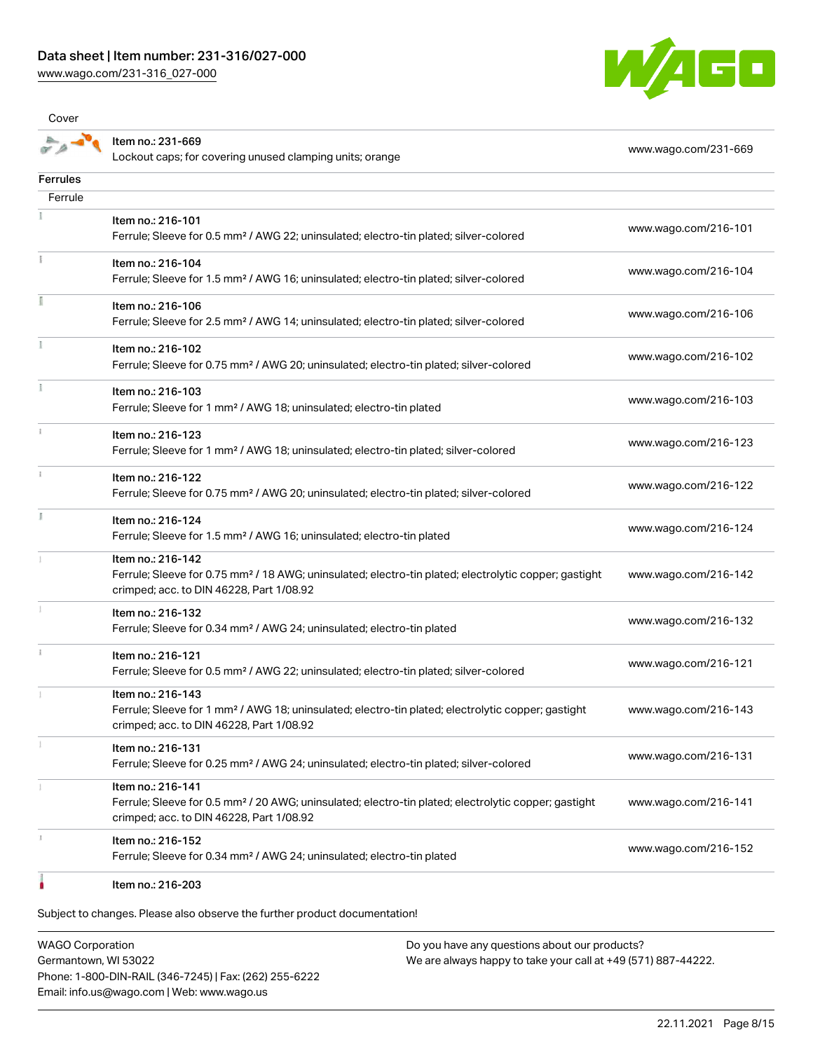[www.wago.com/231-316\\_027-000](http://www.wago.com/231-316_027-000)

Cover



|                 | Item no.: 231-669<br>Lockout caps; for covering unused clamping units; orange                                                                                                      | www.wago.com/231-669 |
|-----------------|------------------------------------------------------------------------------------------------------------------------------------------------------------------------------------|----------------------|
| <b>Ferrules</b> |                                                                                                                                                                                    |                      |
| Ferrule         |                                                                                                                                                                                    |                      |
|                 | Item no.: 216-101<br>Ferrule; Sleeve for 0.5 mm <sup>2</sup> / AWG 22; uninsulated; electro-tin plated; silver-colored                                                             | www.wago.com/216-101 |
| Ť               | Item no.: 216-104<br>Ferrule; Sleeve for 1.5 mm <sup>2</sup> / AWG 16; uninsulated; electro-tin plated; silver-colored                                                             | www.wago.com/216-104 |
|                 | Item no.: 216-106<br>Ferrule; Sleeve for 2.5 mm <sup>2</sup> / AWG 14; uninsulated; electro-tin plated; silver-colored                                                             | www.wago.com/216-106 |
|                 | Item no.: 216-102<br>Ferrule; Sleeve for 0.75 mm <sup>2</sup> / AWG 20; uninsulated; electro-tin plated; silver-colored                                                            | www.wago.com/216-102 |
|                 | Item no.: 216-103<br>Ferrule; Sleeve for 1 mm <sup>2</sup> / AWG 18; uninsulated; electro-tin plated                                                                               | www.wago.com/216-103 |
|                 | Item no.: 216-123<br>Ferrule; Sleeve for 1 mm <sup>2</sup> / AWG 18; uninsulated; electro-tin plated; silver-colored                                                               | www.wago.com/216-123 |
|                 | Item no.: 216-122<br>Ferrule; Sleeve for 0.75 mm <sup>2</sup> / AWG 20; uninsulated; electro-tin plated; silver-colored                                                            | www.wago.com/216-122 |
|                 | Item no.: 216-124<br>Ferrule; Sleeve for 1.5 mm <sup>2</sup> / AWG 16; uninsulated; electro-tin plated                                                                             | www.wago.com/216-124 |
|                 | Item no.: 216-142<br>Ferrule; Sleeve for 0.75 mm <sup>2</sup> / 18 AWG; uninsulated; electro-tin plated; electrolytic copper; gastight<br>crimped; acc. to DIN 46228, Part 1/08.92 | www.wago.com/216-142 |
|                 | Item no.: 216-132<br>Ferrule; Sleeve for 0.34 mm <sup>2</sup> / AWG 24; uninsulated; electro-tin plated                                                                            | www.wago.com/216-132 |
|                 | Item no.: 216-121<br>Ferrule; Sleeve for 0.5 mm <sup>2</sup> / AWG 22; uninsulated; electro-tin plated; silver-colored                                                             | www.wago.com/216-121 |
|                 | Item no.: 216-143<br>Ferrule; Sleeve for 1 mm <sup>2</sup> / AWG 18; uninsulated; electro-tin plated; electrolytic copper; gastight<br>crimped; acc. to DIN 46228, Part 1/08.92    | www.wago.com/216-143 |
|                 | Item no.: 216-131<br>Ferrule; Sleeve for 0.25 mm <sup>2</sup> / AWG 24; uninsulated; electro-tin plated; silver-colored                                                            | www.wago.com/216-131 |
|                 | Item no.: 216-141<br>Ferrule; Sleeve for 0.5 mm <sup>2</sup> / 20 AWG; uninsulated; electro-tin plated; electrolytic copper; gastight<br>crimped; acc. to DIN 46228, Part 1/08.92  | www.wago.com/216-141 |
|                 | Item no.: 216-152<br>Ferrule; Sleeve for 0.34 mm <sup>2</sup> / AWG 24; uninsulated; electro-tin plated                                                                            | www.wago.com/216-152 |
|                 | Item no.: 216-203                                                                                                                                                                  |                      |

Subject to changes. Please also observe the further product documentation!

WAGO Corporation Germantown, WI 53022 Phone: 1-800-DIN-RAIL (346-7245) | Fax: (262) 255-6222 Email: info.us@wago.com | Web: www.wago.us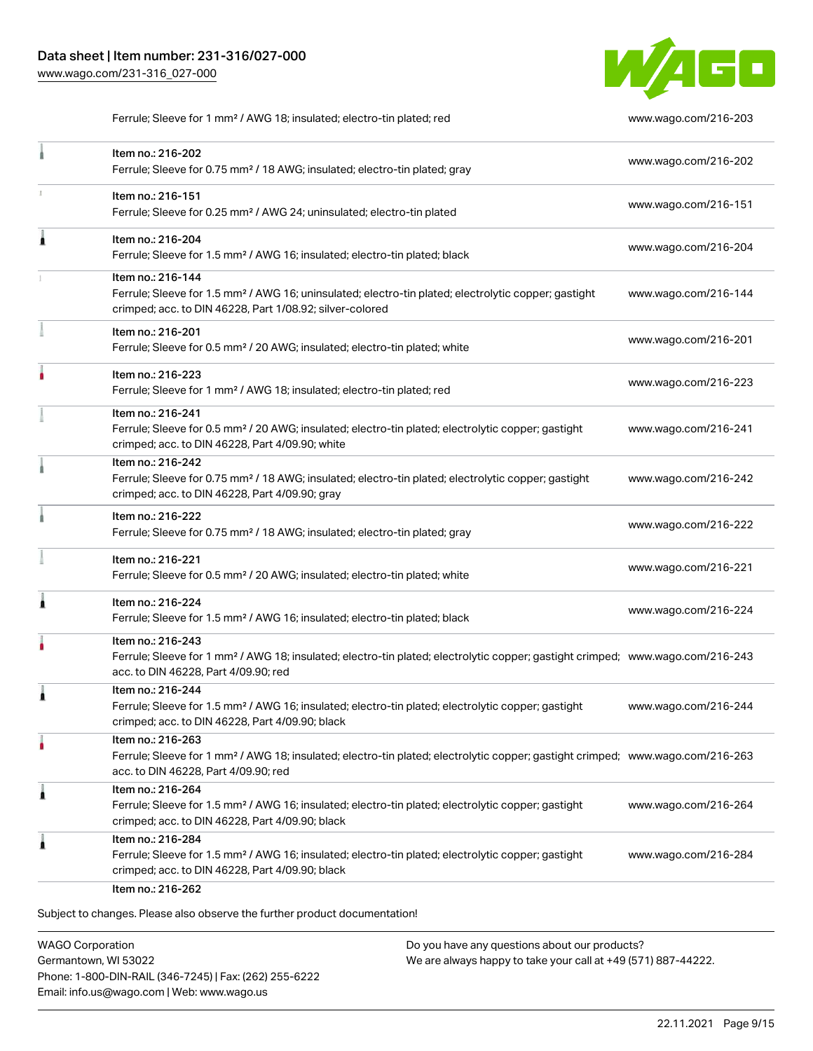

Ferrule; Sleeve for 1 mm² / AWG 18; insulated; electro-tin plated; red [www.wago.com/216-203](http://www.wago.com/216-203)

|   | Item no.: 216-202<br>Ferrule; Sleeve for 0.75 mm <sup>2</sup> / 18 AWG; insulated; electro-tin plated; gray                                                                                             | www.wago.com/216-202 |
|---|---------------------------------------------------------------------------------------------------------------------------------------------------------------------------------------------------------|----------------------|
| ı | Item no.: 216-151<br>Ferrule; Sleeve for 0.25 mm <sup>2</sup> / AWG 24; uninsulated; electro-tin plated                                                                                                 | www.wago.com/216-151 |
| Â | Item no.: 216-204<br>Ferrule; Sleeve for 1.5 mm <sup>2</sup> / AWG 16; insulated; electro-tin plated; black                                                                                             | www.wago.com/216-204 |
|   | Item no.: 216-144<br>Ferrule; Sleeve for 1.5 mm <sup>2</sup> / AWG 16; uninsulated; electro-tin plated; electrolytic copper; gastight<br>crimped; acc. to DIN 46228, Part 1/08.92; silver-colored       | www.wago.com/216-144 |
|   | Item no.: 216-201<br>Ferrule; Sleeve for 0.5 mm <sup>2</sup> / 20 AWG; insulated; electro-tin plated; white                                                                                             | www.wago.com/216-201 |
|   | Item no.: 216-223<br>Ferrule; Sleeve for 1 mm <sup>2</sup> / AWG 18; insulated; electro-tin plated; red                                                                                                 | www.wago.com/216-223 |
|   | Item no.: 216-241<br>Ferrule; Sleeve for 0.5 mm <sup>2</sup> / 20 AWG; insulated; electro-tin plated; electrolytic copper; gastight<br>crimped; acc. to DIN 46228, Part 4/09.90; white                  | www.wago.com/216-241 |
|   | Item no.: 216-242<br>Ferrule; Sleeve for 0.75 mm <sup>2</sup> / 18 AWG; insulated; electro-tin plated; electrolytic copper; gastight<br>crimped; acc. to DIN 46228, Part 4/09.90; gray                  | www.wago.com/216-242 |
|   | Item no.: 216-222<br>Ferrule; Sleeve for 0.75 mm <sup>2</sup> / 18 AWG; insulated; electro-tin plated; gray                                                                                             | www.wago.com/216-222 |
|   | Item no.: 216-221<br>Ferrule; Sleeve for 0.5 mm <sup>2</sup> / 20 AWG; insulated; electro-tin plated; white                                                                                             | www.wago.com/216-221 |
|   | Item no.: 216-224<br>Ferrule; Sleeve for 1.5 mm <sup>2</sup> / AWG 16; insulated; electro-tin plated; black                                                                                             | www.wago.com/216-224 |
|   | Item no.: 216-243<br>Ferrule; Sleeve for 1 mm <sup>2</sup> / AWG 18; insulated; electro-tin plated; electrolytic copper; gastight crimped; www.wago.com/216-243<br>acc. to DIN 46228, Part 4/09.90; red |                      |
|   | Item no.: 216-244<br>Ferrule; Sleeve for 1.5 mm <sup>2</sup> / AWG 16; insulated; electro-tin plated; electrolytic copper; gastight<br>crimped; acc. to DIN 46228, Part 4/09.90; black                  | www.wago.com/216-244 |
|   | Item no.: 216-263<br>Ferrule; Sleeve for 1 mm <sup>2</sup> / AWG 18; insulated; electro-tin plated; electrolytic copper; gastight crimped; www.wago.com/216-263<br>acc. to DIN 46228, Part 4/09.90; red |                      |
|   | Item no.: 216-264<br>Ferrule; Sleeve for 1.5 mm <sup>2</sup> / AWG 16; insulated; electro-tin plated; electrolytic copper; gastight<br>crimped; acc. to DIN 46228, Part 4/09.90; black                  | www.wago.com/216-264 |
|   | Item no.: 216-284<br>Ferrule; Sleeve for 1.5 mm <sup>2</sup> / AWG 16; insulated; electro-tin plated; electrolytic copper; gastight<br>crimped; acc. to DIN 46228, Part 4/09.90; black                  | www.wago.com/216-284 |

WAGO Corporation Germantown, WI 53022 Phone: 1-800-DIN-RAIL (346-7245) | Fax: (262) 255-6222 Email: info.us@wago.com | Web: www.wago.us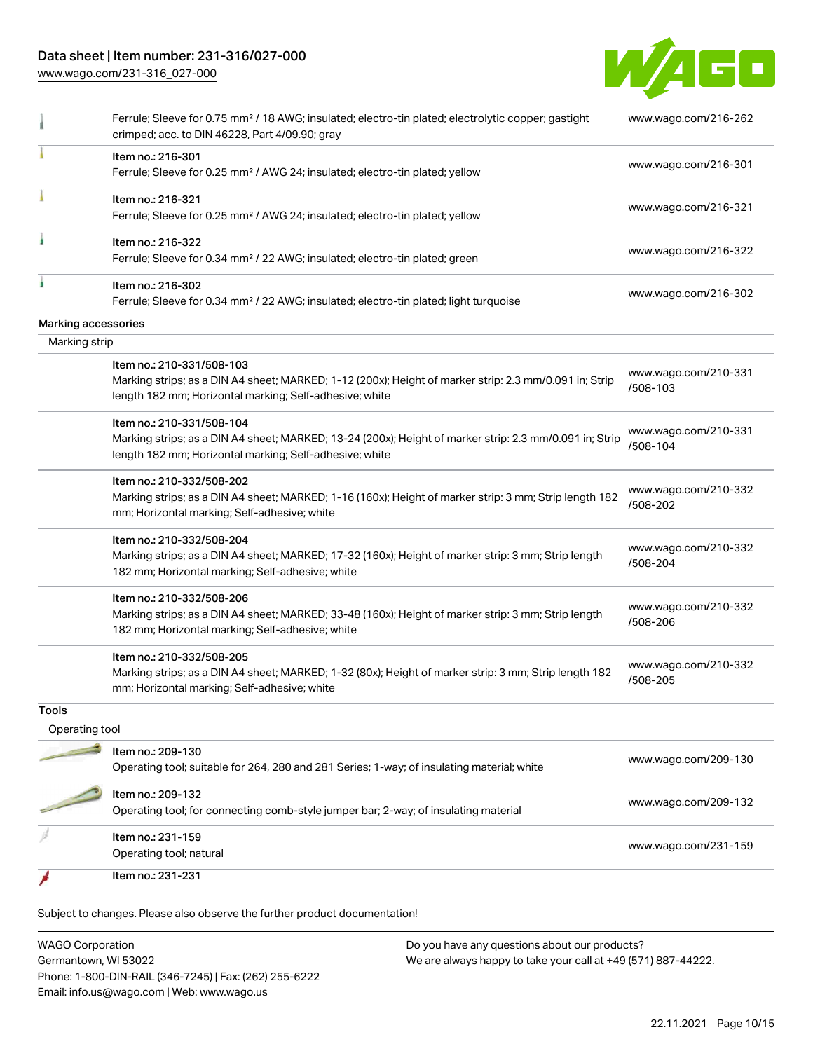## Data sheet | Item number: 231-316/027-000

[www.wago.com/231-316\\_027-000](http://www.wago.com/231-316_027-000)



|                     | Ferrule; Sleeve for 0.75 mm <sup>2</sup> / 18 AWG; insulated; electro-tin plated; electrolytic copper; gastight<br>crimped; acc. to DIN 46228, Part 4/09.90; gray                               | www.wago.com/216-262             |
|---------------------|-------------------------------------------------------------------------------------------------------------------------------------------------------------------------------------------------|----------------------------------|
|                     | Item no.: 216-301<br>Ferrule; Sleeve for 0.25 mm <sup>2</sup> / AWG 24; insulated; electro-tin plated; yellow                                                                                   | www.wago.com/216-301             |
|                     | Item no.: 216-321<br>Ferrule; Sleeve for 0.25 mm <sup>2</sup> / AWG 24; insulated; electro-tin plated; yellow                                                                                   | www.wago.com/216-321             |
|                     | Item no.: 216-322<br>Ferrule; Sleeve for 0.34 mm <sup>2</sup> / 22 AWG; insulated; electro-tin plated; green                                                                                    | www.wago.com/216-322             |
|                     | Item no.: 216-302<br>Ferrule; Sleeve for 0.34 mm <sup>2</sup> / 22 AWG; insulated; electro-tin plated; light turquoise                                                                          | www.wago.com/216-302             |
| Marking accessories |                                                                                                                                                                                                 |                                  |
| Marking strip       |                                                                                                                                                                                                 |                                  |
|                     | Item no.: 210-331/508-103<br>Marking strips; as a DIN A4 sheet; MARKED; 1-12 (200x); Height of marker strip: 2.3 mm/0.091 in; Strip<br>length 182 mm; Horizontal marking; Self-adhesive; white  | www.wago.com/210-331<br>/508-103 |
|                     | Item no.: 210-331/508-104<br>Marking strips; as a DIN A4 sheet; MARKED; 13-24 (200x); Height of marker strip: 2.3 mm/0.091 in; Strip<br>length 182 mm; Horizontal marking; Self-adhesive; white | www.wago.com/210-331<br>/508-104 |
|                     | Item no.: 210-332/508-202<br>Marking strips; as a DIN A4 sheet; MARKED; 1-16 (160x); Height of marker strip: 3 mm; Strip length 182<br>mm; Horizontal marking; Self-adhesive; white             | www.wago.com/210-332<br>/508-202 |
|                     | Item no.: 210-332/508-204<br>Marking strips; as a DIN A4 sheet; MARKED; 17-32 (160x); Height of marker strip: 3 mm; Strip length<br>182 mm; Horizontal marking; Self-adhesive; white            | www.wago.com/210-332<br>/508-204 |
|                     | Item no.: 210-332/508-206<br>Marking strips; as a DIN A4 sheet; MARKED; 33-48 (160x); Height of marker strip: 3 mm; Strip length<br>182 mm; Horizontal marking; Self-adhesive; white            | www.wago.com/210-332<br>/508-206 |
|                     | Item no.: 210-332/508-205<br>Marking strips; as a DIN A4 sheet; MARKED; 1-32 (80x); Height of marker strip: 3 mm; Strip length 182<br>mm; Horizontal marking; Self-adhesive; white              | www.wago.com/210-332<br>/508-205 |
| Tools               |                                                                                                                                                                                                 |                                  |
| Operating tool      |                                                                                                                                                                                                 |                                  |
|                     | Item no.: 209-130<br>Operating tool; suitable for 264, 280 and 281 Series; 1-way; of insulating material; white                                                                                 | www.wago.com/209-130             |
|                     | Item no.: 209-132<br>Operating tool; for connecting comb-style jumper bar; 2-way; of insulating material                                                                                        | www.wago.com/209-132             |
|                     | Item no.: 231-159<br>Operating tool; natural                                                                                                                                                    | www.wago.com/231-159             |
|                     |                                                                                                                                                                                                 |                                  |

| <b>WAGO Corporation</b>                                | Do you have any questions about our products?                 |  |
|--------------------------------------------------------|---------------------------------------------------------------|--|
| Germantown, WI 53022                                   | We are always happy to take your call at +49 (571) 887-44222. |  |
| Phone: 1-800-DIN-RAIL (346-7245)   Fax: (262) 255-6222 |                                                               |  |
| Email: info.us@wago.com   Web: www.wago.us             |                                                               |  |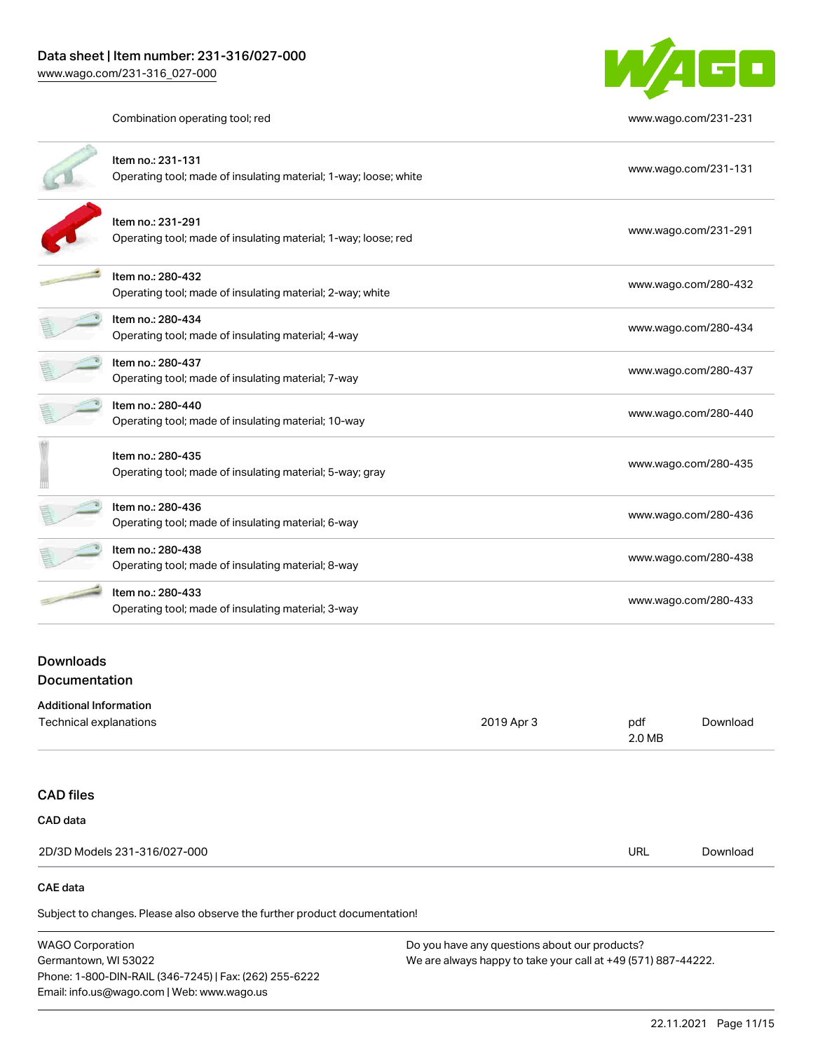

Combination operating tool; red [www.wago.com/231-231](http://www.wago.com/231-231)

| Item no.: 231-131<br>Operating tool; made of insulating material; 1-way; loose; white | www.wago.com/231-131 |
|---------------------------------------------------------------------------------------|----------------------|
| Item no.: 231-291<br>Operating tool; made of insulating material; 1-way; loose; red   | www.wago.com/231-291 |
| Item no.: 280-432<br>Operating tool; made of insulating material; 2-way; white        | www.wago.com/280-432 |
| Item no.: 280-434<br>Operating tool; made of insulating material; 4-way               | www.wago.com/280-434 |
| Item no.: 280-437<br>Operating tool; made of insulating material; 7-way               | www.wago.com/280-437 |
| Item no.: 280-440<br>Operating tool; made of insulating material; 10-way              | www.wago.com/280-440 |
| Item no.: 280-435<br>Operating tool; made of insulating material; 5-way; gray         | www.wago.com/280-435 |
| Item no.: 280-436<br>Operating tool; made of insulating material; 6-way               | www.wago.com/280-436 |
| Item no.: 280-438<br>Operating tool; made of insulating material; 8-way               | www.wago.com/280-438 |
| Item no.: 280-433<br>Operating tool; made of insulating material; 3-way               | www.wago.com/280-433 |
|                                                                                       |                      |

## Downloads Documentation

#### Additional Information

| Technical explanations                                                     | 2019 Apr 3 | pdf<br>2.0 MB | Download |
|----------------------------------------------------------------------------|------------|---------------|----------|
|                                                                            |            |               |          |
| <b>CAD files</b>                                                           |            |               |          |
| CAD data                                                                   |            |               |          |
| 2D/3D Models 231-316/027-000                                               |            | <b>URL</b>    | Download |
| CAE data                                                                   |            |               |          |
| Subject to changes. Please also observe the further product documentation! |            |               |          |

WAGO Corporation Germantown, WI 53022 Phone: 1-800-DIN-RAIL (346-7245) | Fax: (262) 255-6222 Email: info.us@wago.com | Web: www.wago.us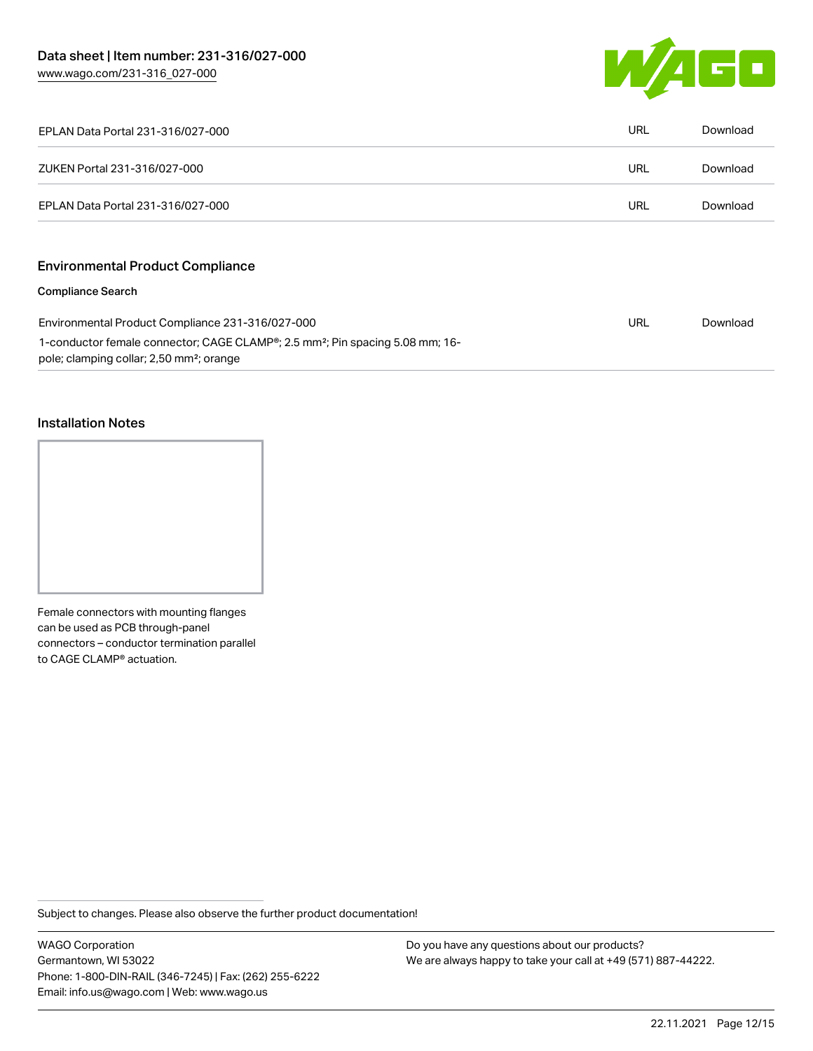

| EPLAN Data Portal 231-316/027-000                                                                                                                              | URL        | Download |
|----------------------------------------------------------------------------------------------------------------------------------------------------------------|------------|----------|
| ZUKEN Portal 231-316/027-000                                                                                                                                   | <b>URL</b> | Download |
| EPLAN Data Portal 231-316/027-000                                                                                                                              | URL        | Download |
| <b>Environmental Product Compliance</b>                                                                                                                        |            |          |
| <b>Compliance Search</b>                                                                                                                                       |            |          |
| Environmental Product Compliance 231-316/027-000                                                                                                               |            | Download |
| 1-conductor female connector; CAGE CLAMP <sup>®</sup> ; 2.5 mm <sup>2</sup> ; Pin spacing 5.08 mm; 16-<br>pole; clamping collar; 2,50 mm <sup>2</sup> ; orange |            |          |

#### Installation Notes

Female connectors with mounting flanges can be used as PCB through-panel connectors – conductor termination parallel to CAGE CLAMP® actuation.

Subject to changes. Please also observe the further product documentation!

WAGO Corporation Germantown, WI 53022 Phone: 1-800-DIN-RAIL (346-7245) | Fax: (262) 255-6222 Email: info.us@wago.com | Web: www.wago.us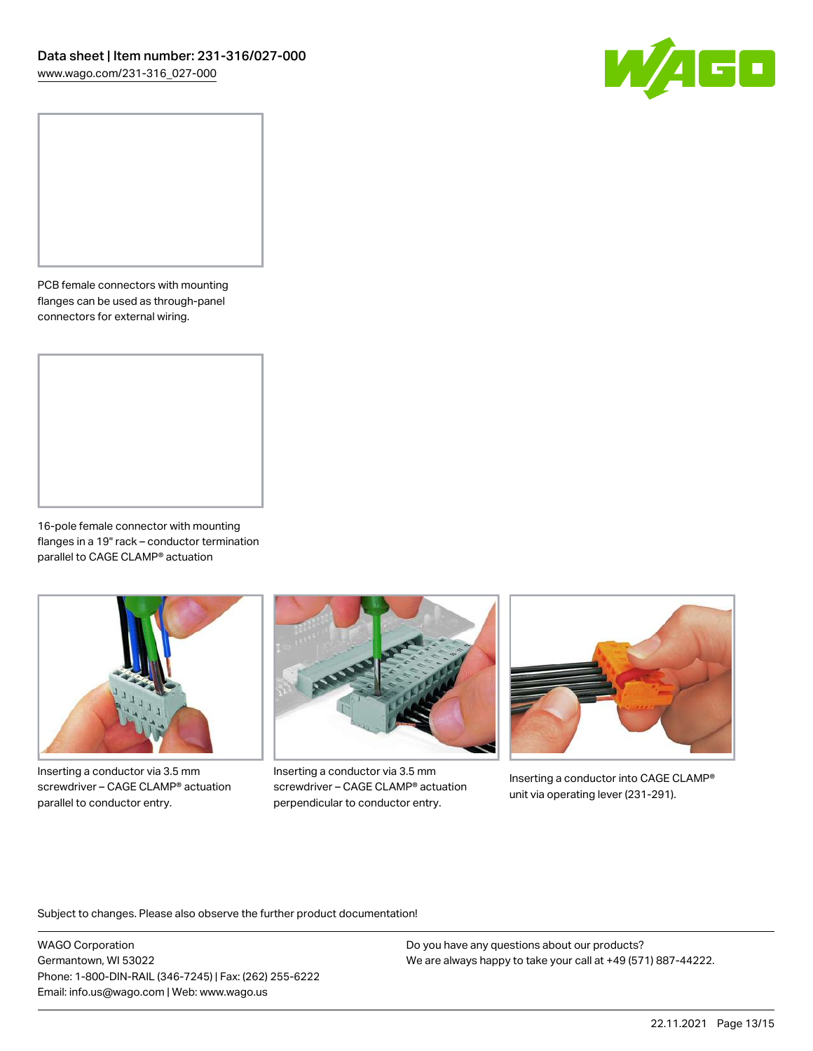

PCB female connectors with mounting flanges can be used as through-panel connectors for external wiring.

16-pole female connector with mounting flanges in a 19" rack – conductor termination parallel to CAGE CLAMP® actuation



Inserting a conductor via 3.5 mm screwdriver – CAGE CLAMP® actuation parallel to conductor entry.



Inserting a conductor via 3.5 mm screwdriver – CAGE CLAMP® actuation perpendicular to conductor entry.



Inserting a conductor into CAGE CLAMP® unit via operating lever (231-291).

Subject to changes. Please also observe the further product documentation!

WAGO Corporation Germantown, WI 53022 Phone: 1-800-DIN-RAIL (346-7245) | Fax: (262) 255-6222 Email: info.us@wago.com | Web: www.wago.us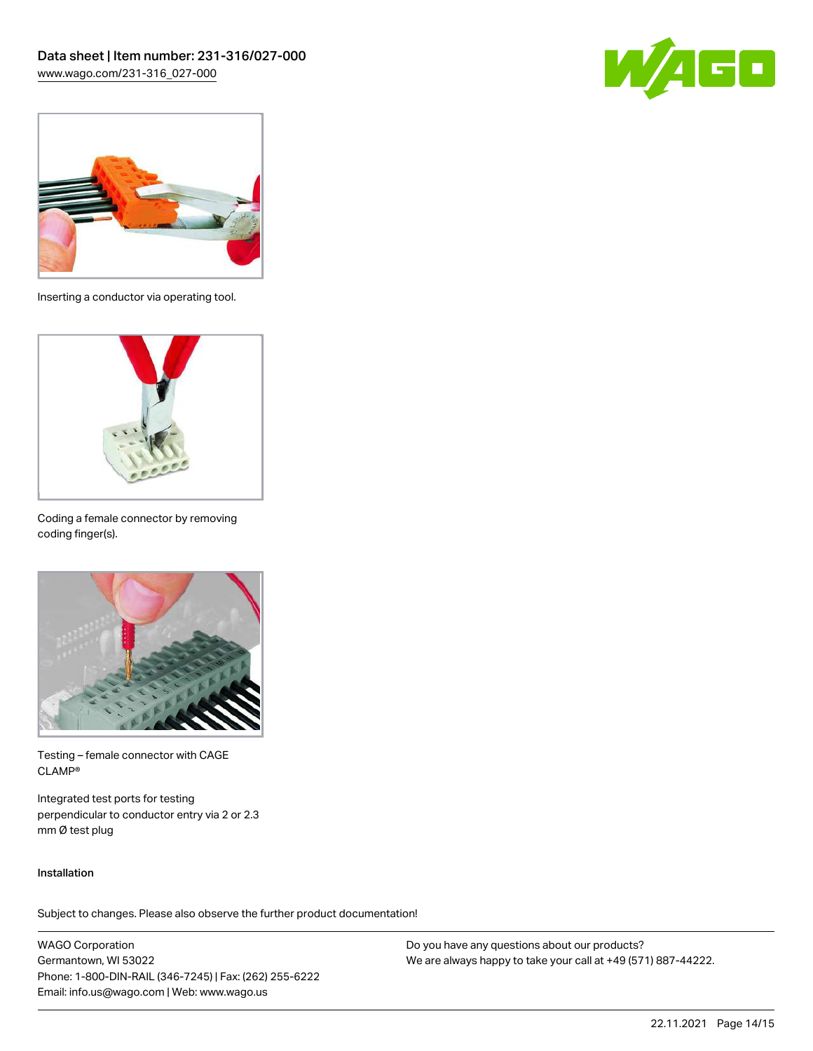



Inserting a conductor via operating tool.



Coding a female connector by removing coding finger(s).



Testing – female connector with CAGE CLAMP®

Integrated test ports for testing perpendicular to conductor entry via 2 or 2.3 mm Ø test plug

#### Installation

Subject to changes. Please also observe the further product documentation!

WAGO Corporation Germantown, WI 53022 Phone: 1-800-DIN-RAIL (346-7245) | Fax: (262) 255-6222 Email: info.us@wago.com | Web: www.wago.us